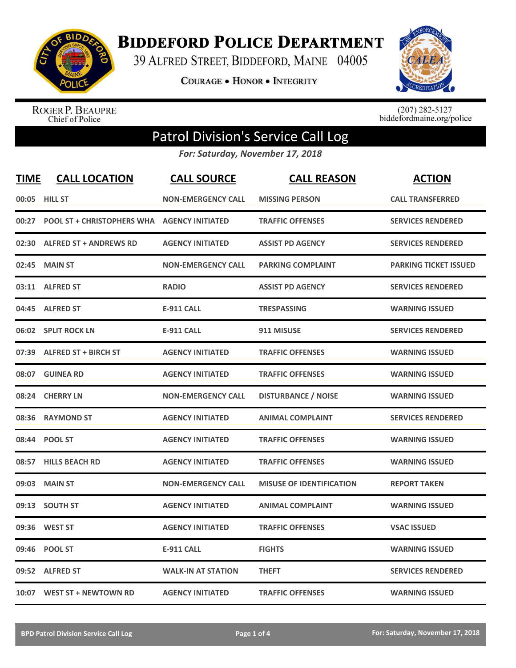

**BIDDEFORD POLICE DEPARTMENT** 

39 ALFRED STREET, BIDDEFORD, MAINE 04005

**COURAGE . HONOR . INTEGRITY** 



ROGER P. BEAUPRE<br>Chief of Police

 $(207)$  282-5127<br>biddefordmaine.org/police

## Patrol Division's Service Call Log

*For: Saturday, November 17, 2018*

| <b>TIME</b> | <b>CALL LOCATION</b>                               | <b>CALL SOURCE</b>        | <b>CALL REASON</b>              | <b>ACTION</b>                |
|-------------|----------------------------------------------------|---------------------------|---------------------------------|------------------------------|
| 00:05       | <b>HILL ST</b>                                     | <b>NON-EMERGENCY CALL</b> | <b>MISSING PERSON</b>           | <b>CALL TRANSFERRED</b>      |
| 00:27       | <b>POOL ST + CHRISTOPHERS WHA AGENCY INITIATED</b> |                           | <b>TRAFFIC OFFENSES</b>         | <b>SERVICES RENDERED</b>     |
|             | 02:30 ALFRED ST + ANDREWS RD                       | <b>AGENCY INITIATED</b>   | <b>ASSIST PD AGENCY</b>         | <b>SERVICES RENDERED</b>     |
| 02:45       | <b>MAIN ST</b>                                     | <b>NON-EMERGENCY CALL</b> | <b>PARKING COMPLAINT</b>        | <b>PARKING TICKET ISSUED</b> |
| 03:11       | <b>ALFRED ST</b>                                   | <b>RADIO</b>              | <b>ASSIST PD AGENCY</b>         | <b>SERVICES RENDERED</b>     |
| 04:45       | <b>ALFRED ST</b>                                   | <b>E-911 CALL</b>         | <b>TRESPASSING</b>              | <b>WARNING ISSUED</b>        |
|             | 06:02 SPLIT ROCK LN                                | <b>E-911 CALL</b>         | 911 MISUSE                      | <b>SERVICES RENDERED</b>     |
| 07:39       | <b>ALFRED ST + BIRCH ST</b>                        | <b>AGENCY INITIATED</b>   | <b>TRAFFIC OFFENSES</b>         | <b>WARNING ISSUED</b>        |
| 08:07       | <b>GUINEA RD</b>                                   | <b>AGENCY INITIATED</b>   | <b>TRAFFIC OFFENSES</b>         | <b>WARNING ISSUED</b>        |
| 08:24       | <b>CHERRY LN</b>                                   | <b>NON-EMERGENCY CALL</b> | <b>DISTURBANCE / NOISE</b>      | <b>WARNING ISSUED</b>        |
| 08:36       | <b>RAYMOND ST</b>                                  | <b>AGENCY INITIATED</b>   | <b>ANIMAL COMPLAINT</b>         | <b>SERVICES RENDERED</b>     |
| 08:44       | <b>POOL ST</b>                                     | <b>AGENCY INITIATED</b>   | <b>TRAFFIC OFFENSES</b>         | <b>WARNING ISSUED</b>        |
| 08:57       | <b>HILLS BEACH RD</b>                              | <b>AGENCY INITIATED</b>   | <b>TRAFFIC OFFENSES</b>         | <b>WARNING ISSUED</b>        |
| 09:03       | <b>MAIN ST</b>                                     | <b>NON-EMERGENCY CALL</b> | <b>MISUSE OF IDENTIFICATION</b> | <b>REPORT TAKEN</b>          |
| 09:13       | <b>SOUTH ST</b>                                    | <b>AGENCY INITIATED</b>   | <b>ANIMAL COMPLAINT</b>         | <b>WARNING ISSUED</b>        |
| 09:36       | <b>WEST ST</b>                                     | <b>AGENCY INITIATED</b>   | <b>TRAFFIC OFFENSES</b>         | <b>VSAC ISSUED</b>           |
| 09:46       | <b>POOL ST</b>                                     | <b>E-911 CALL</b>         | <b>FIGHTS</b>                   | <b>WARNING ISSUED</b>        |
|             | 09:52 ALFRED ST                                    | <b>WALK-IN AT STATION</b> | <b>THEFT</b>                    | <b>SERVICES RENDERED</b>     |
|             | 10:07 WEST ST + NEWTOWN RD                         | <b>AGENCY INITIATED</b>   | <b>TRAFFIC OFFENSES</b>         | <b>WARNING ISSUED</b>        |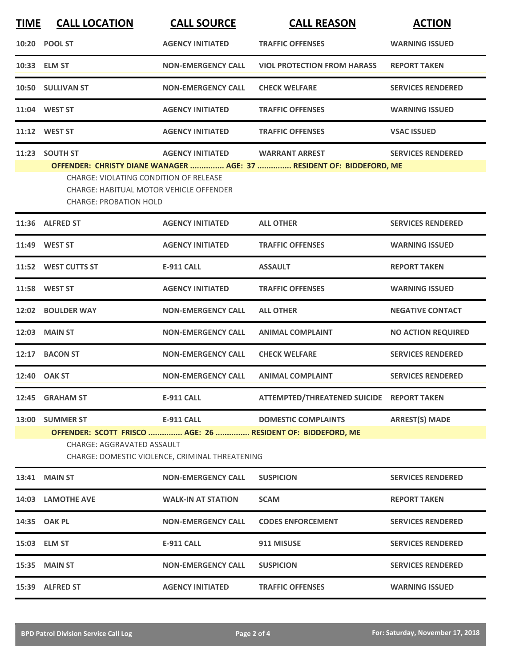| <b>TIME</b> | <b>CALL LOCATION</b>                                                                                                                                | <b>CALL SOURCE</b>        | <b>CALL REASON</b>                                                                            | <b>ACTION</b>             |  |
|-------------|-----------------------------------------------------------------------------------------------------------------------------------------------------|---------------------------|-----------------------------------------------------------------------------------------------|---------------------------|--|
|             | 10:20 POOL ST                                                                                                                                       | <b>AGENCY INITIATED</b>   | <b>TRAFFIC OFFENSES</b>                                                                       | <b>WARNING ISSUED</b>     |  |
|             | 10:33 ELM ST                                                                                                                                        | <b>NON-EMERGENCY CALL</b> | <b>VIOL PROTECTION FROM HARASS</b>                                                            | <b>REPORT TAKEN</b>       |  |
|             | 10:50 SULLIVAN ST                                                                                                                                   | <b>NON-EMERGENCY CALL</b> | <b>CHECK WELFARE</b>                                                                          | <b>SERVICES RENDERED</b>  |  |
| 11:04       | <b>WEST ST</b>                                                                                                                                      | <b>AGENCY INITIATED</b>   | <b>TRAFFIC OFFENSES</b>                                                                       | <b>WARNING ISSUED</b>     |  |
|             | 11:12 WEST ST                                                                                                                                       | <b>AGENCY INITIATED</b>   | <b>TRAFFIC OFFENSES</b>                                                                       | <b>VSAC ISSUED</b>        |  |
|             | 11:23 SOUTH ST                                                                                                                                      | <b>AGENCY INITIATED</b>   | <b>WARRANT ARREST</b><br>OFFENDER: CHRISTY DIANE WANAGER  AGE: 37  RESIDENT OF: BIDDEFORD, ME | <b>SERVICES RENDERED</b>  |  |
|             | <b>CHARGE: VIOLATING CONDITION OF RELEASE</b><br><b>CHARGE: HABITUAL MOTOR VEHICLE OFFENDER</b><br><b>CHARGE: PROBATION HOLD</b>                    |                           |                                                                                               |                           |  |
|             | 11:36 ALFRED ST                                                                                                                                     | <b>AGENCY INITIATED</b>   | <b>ALL OTHER</b>                                                                              | <b>SERVICES RENDERED</b>  |  |
|             | 11:49 WEST ST                                                                                                                                       | <b>AGENCY INITIATED</b>   | <b>TRAFFIC OFFENSES</b>                                                                       | <b>WARNING ISSUED</b>     |  |
|             | 11:52 WEST CUTTS ST                                                                                                                                 | <b>E-911 CALL</b>         | <b>ASSAULT</b>                                                                                | <b>REPORT TAKEN</b>       |  |
|             | 11:58 WEST ST                                                                                                                                       | <b>AGENCY INITIATED</b>   | <b>TRAFFIC OFFENSES</b>                                                                       | <b>WARNING ISSUED</b>     |  |
| 12:02       | <b>BOULDER WAY</b>                                                                                                                                  | <b>NON-EMERGENCY CALL</b> | <b>ALL OTHER</b>                                                                              | <b>NEGATIVE CONTACT</b>   |  |
| 12:03       | <b>MAIN ST</b>                                                                                                                                      | <b>NON-EMERGENCY CALL</b> | <b>ANIMAL COMPLAINT</b>                                                                       | <b>NO ACTION REQUIRED</b> |  |
|             | 12:17 BACON ST                                                                                                                                      | <b>NON-EMERGENCY CALL</b> | <b>CHECK WELFARE</b>                                                                          | <b>SERVICES RENDERED</b>  |  |
|             | 12:40 OAK ST                                                                                                                                        | <b>NON-EMERGENCY CALL</b> | <b>ANIMAL COMPLAINT</b>                                                                       | <b>SERVICES RENDERED</b>  |  |
|             | 12:45 GRAHAM ST                                                                                                                                     | <b>E-911 CALL</b>         | ATTEMPTED/THREATENED SUICIDE REPORT TAKEN                                                     |                           |  |
|             | 13:00 SUMMER ST                                                                                                                                     | <b>E-911 CALL</b>         | <b>DOMESTIC COMPLAINTS</b>                                                                    | <b>ARREST(S) MADE</b>     |  |
|             | OFFENDER: SCOTT FRISCO  AGE: 26  RESIDENT OF: BIDDEFORD, ME<br><b>CHARGE: AGGRAVATED ASSAULT</b><br>CHARGE: DOMESTIC VIOLENCE, CRIMINAL THREATENING |                           |                                                                                               |                           |  |
|             | 13:41 MAIN ST                                                                                                                                       | <b>NON-EMERGENCY CALL</b> | <b>SUSPICION</b>                                                                              | <b>SERVICES RENDERED</b>  |  |
|             | 14:03 LAMOTHE AVE                                                                                                                                   | <b>WALK-IN AT STATION</b> | <b>SCAM</b>                                                                                   | <b>REPORT TAKEN</b>       |  |
|             | 14:35 OAK PL                                                                                                                                        | <b>NON-EMERGENCY CALL</b> | <b>CODES ENFORCEMENT</b>                                                                      | <b>SERVICES RENDERED</b>  |  |
|             | 15:03 ELM ST                                                                                                                                        | <b>E-911 CALL</b>         | 911 MISUSE                                                                                    | <b>SERVICES RENDERED</b>  |  |
|             | 15:35 MAIN ST                                                                                                                                       | <b>NON-EMERGENCY CALL</b> | <b>SUSPICION</b>                                                                              | <b>SERVICES RENDERED</b>  |  |
|             | 15:39 ALFRED ST                                                                                                                                     | <b>AGENCY INITIATED</b>   | <b>TRAFFIC OFFENSES</b>                                                                       | <b>WARNING ISSUED</b>     |  |
|             |                                                                                                                                                     |                           |                                                                                               |                           |  |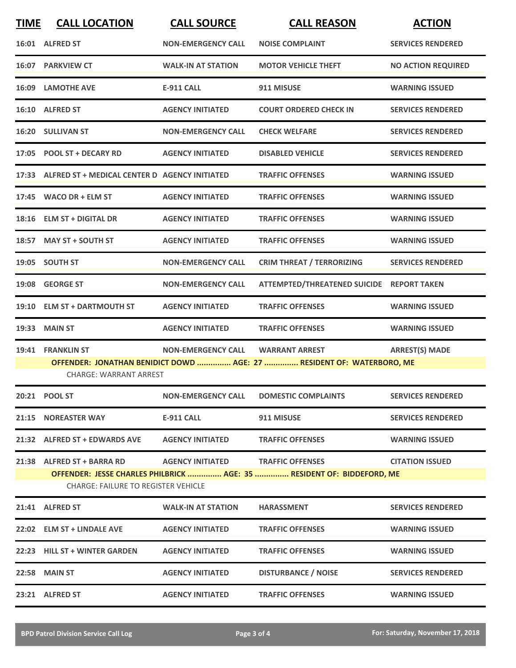| <b>TIME</b> | <b>CALL LOCATION</b>                                                                                   | <b>CALL SOURCE</b>                | <b>CALL REASON</b>                                                     | <b>ACTION</b>             |  |  |
|-------------|--------------------------------------------------------------------------------------------------------|-----------------------------------|------------------------------------------------------------------------|---------------------------|--|--|
|             | 16:01 ALFRED ST                                                                                        | <b>NON-EMERGENCY CALL</b>         | <b>NOISE COMPLAINT</b>                                                 | <b>SERVICES RENDERED</b>  |  |  |
|             | 16:07 PARKVIEW CT                                                                                      | <b>WALK-IN AT STATION</b>         | <b>MOTOR VEHICLE THEFT</b>                                             | <b>NO ACTION REQUIRED</b> |  |  |
|             | <b>16:09 LAMOTHE AVE</b>                                                                               | <b>E-911 CALL</b>                 | 911 MISUSE                                                             | <b>WARNING ISSUED</b>     |  |  |
|             | 16:10 ALFRED ST                                                                                        | <b>AGENCY INITIATED</b>           | <b>COURT ORDERED CHECK IN</b>                                          | <b>SERVICES RENDERED</b>  |  |  |
|             | 16:20 SULLIVAN ST                                                                                      | <b>NON-EMERGENCY CALL</b>         | <b>CHECK WELFARE</b>                                                   | <b>SERVICES RENDERED</b>  |  |  |
|             | 17:05 POOL ST + DECARY RD                                                                              | <b>AGENCY INITIATED</b>           | <b>DISABLED VEHICLE</b>                                                | <b>SERVICES RENDERED</b>  |  |  |
|             | 17:33 ALFRED ST + MEDICAL CENTER D AGENCY INITIATED                                                    |                                   | <b>TRAFFIC OFFENSES</b>                                                | <b>WARNING ISSUED</b>     |  |  |
| 17:45       | <b>WACO DR + ELM ST</b>                                                                                | <b>AGENCY INITIATED</b>           | <b>TRAFFIC OFFENSES</b>                                                | <b>WARNING ISSUED</b>     |  |  |
| 18:16       | <b>ELM ST + DIGITAL DR</b>                                                                             | <b>AGENCY INITIATED</b>           | <b>TRAFFIC OFFENSES</b>                                                | <b>WARNING ISSUED</b>     |  |  |
|             | 18:57 MAY ST + SOUTH ST                                                                                | <b>AGENCY INITIATED</b>           | <b>TRAFFIC OFFENSES</b>                                                | <b>WARNING ISSUED</b>     |  |  |
|             | 19:05 SOUTH ST                                                                                         | <b>NON-EMERGENCY CALL</b>         | <b>CRIM THREAT / TERRORIZING</b>                                       | <b>SERVICES RENDERED</b>  |  |  |
| 19:08       | <b>GEORGE ST</b>                                                                                       | <b>NON-EMERGENCY CALL</b>         | ATTEMPTED/THREATENED SUICIDE REPORT TAKEN                              |                           |  |  |
| 19:10       | <b>ELM ST + DARTMOUTH ST</b>                                                                           | <b>AGENCY INITIATED</b>           | <b>TRAFFIC OFFENSES</b>                                                | <b>WARNING ISSUED</b>     |  |  |
| 19:33       | <b>MAIN ST</b>                                                                                         | <b>AGENCY INITIATED</b>           | <b>TRAFFIC OFFENSES</b>                                                | <b>WARNING ISSUED</b>     |  |  |
| 19:41       | <b>FRANKLIN ST</b>                                                                                     | <b>NON-EMERGENCY CALL</b>         | <b>WARRANT ARREST</b>                                                  | <b>ARREST(S) MADE</b>     |  |  |
|             | OFFENDER: JONATHAN BENIDICT DOWD  AGE: 27  RESIDENT OF: WATERBORO, ME<br><b>CHARGE: WARRANT ARREST</b> |                                   |                                                                        |                           |  |  |
|             |                                                                                                        | <b>NON-EMERGENCY CALL</b>         | <b>DOMESTIC COMPLAINTS</b>                                             | <b>SERVICES RENDERED</b>  |  |  |
|             | 21:15 NOREASTER WAY                                                                                    | E-911 CALL                        | 911 MISUSE                                                             | <b>SERVICES RENDERED</b>  |  |  |
|             | 21:32 ALFRED ST + EDWARDS AVE AGENCY INITIATED                                                         |                                   | <b>TRAFFIC OFFENSES</b>                                                | <b>WARNING ISSUED</b>     |  |  |
|             | 21:38 ALFRED ST + BARRA RD                                                                             | AGENCY INITIATED TRAFFIC OFFENSES |                                                                        | <b>CITATION ISSUED</b>    |  |  |
|             | <b>CHARGE: FAILURE TO REGISTER VEHICLE</b>                                                             |                                   | OFFENDER: JESSE CHARLES PHILBRICK  AGE: 35  RESIDENT OF: BIDDEFORD, ME |                           |  |  |
|             | 21:41 ALFRED ST                                                                                        | <b>WALK-IN AT STATION</b>         | <b>HARASSMENT</b>                                                      | <b>SERVICES RENDERED</b>  |  |  |
|             | 22:02 ELM ST + LINDALE AVE                                                                             | <b>AGENCY INITIATED</b>           | <b>TRAFFIC OFFENSES</b>                                                | <b>WARNING ISSUED</b>     |  |  |
|             | 22:23 HILL ST + WINTER GARDEN                                                                          | <b>AGENCY INITIATED</b>           | <b>TRAFFIC OFFENSES</b>                                                | <b>WARNING ISSUED</b>     |  |  |
|             | <b>22:58 MAIN ST</b>                                                                                   | <b>AGENCY INITIATED</b>           | <b>DISTURBANCE / NOISE</b>                                             | <b>SERVICES RENDERED</b>  |  |  |
|             | 23:21 ALFRED ST                                                                                        | <b>AGENCY INITIATED</b>           | <b>TRAFFIC OFFENSES</b>                                                | <b>WARNING ISSUED</b>     |  |  |